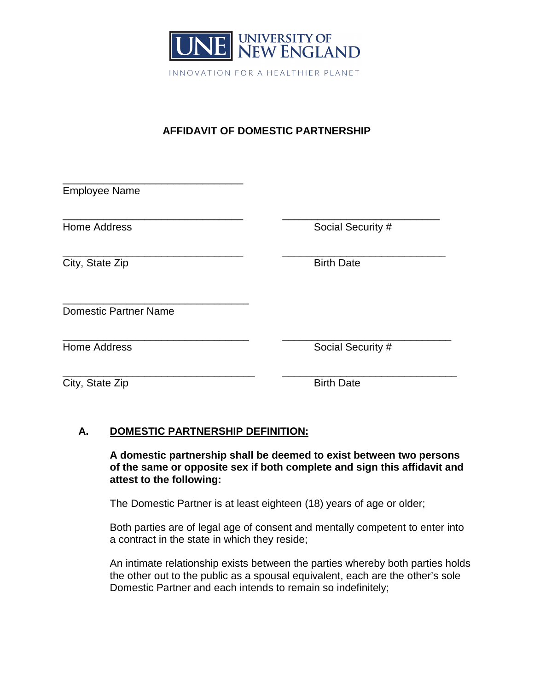

## **AFFIDAVIT OF DOMESTIC PARTNERSHIP**

| <b>Employee Name</b>         |                   |
|------------------------------|-------------------|
|                              |                   |
| <b>Home Address</b>          | Social Security # |
| City, State Zip              | <b>Birth Date</b> |
| <b>Domestic Partner Name</b> |                   |
| <b>Home Address</b>          | Social Security # |
| City, State Zip              | <b>Birth Date</b> |

## **A. DOMESTIC PARTNERSHIP DEFINITION:**

**A domestic partnership shall be deemed to exist between two persons of the same or opposite sex if both complete and sign this affidavit and attest to the following:**

The Domestic Partner is at least eighteen (18) years of age or older;

Both parties are of legal age of consent and mentally competent to enter into a contract in the state in which they reside;

An intimate relationship exists between the parties whereby both parties holds the other out to the public as a spousal equivalent, each are the other's sole Domestic Partner and each intends to remain so indefinitely;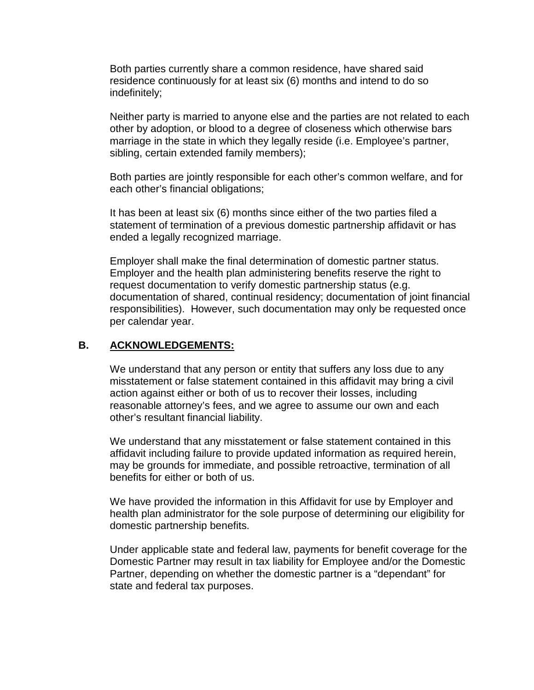Both parties currently share a common residence, have shared said residence continuously for at least six (6) months and intend to do so indefinitely;

Neither party is married to anyone else and the parties are not related to each other by adoption, or blood to a degree of closeness which otherwise bars marriage in the state in which they legally reside (i.e. Employee's partner, sibling, certain extended family members);

Both parties are jointly responsible for each other's common welfare, and for each other's financial obligations;

It has been at least six (6) months since either of the two parties filed a statement of termination of a previous domestic partnership affidavit or has ended a legally recognized marriage.

Employer shall make the final determination of domestic partner status. Employer and the health plan administering benefits reserve the right to request documentation to verify domestic partnership status (e.g. documentation of shared, continual residency; documentation of joint financial responsibilities). However, such documentation may only be requested once per calendar year.

## **B. ACKNOWLEDGEMENTS:**

We understand that any person or entity that suffers any loss due to any misstatement or false statement contained in this affidavit may bring a civil action against either or both of us to recover their losses, including reasonable attorney's fees, and we agree to assume our own and each other's resultant financial liability.

We understand that any misstatement or false statement contained in this affidavit including failure to provide updated information as required herein, may be grounds for immediate, and possible retroactive, termination of all benefits for either or both of us.

We have provided the information in this Affidavit for use by Employer and health plan administrator for the sole purpose of determining our eligibility for domestic partnership benefits.

Under applicable state and federal law, payments for benefit coverage for the Domestic Partner may result in tax liability for Employee and/or the Domestic Partner, depending on whether the domestic partner is a "dependant" for state and federal tax purposes.